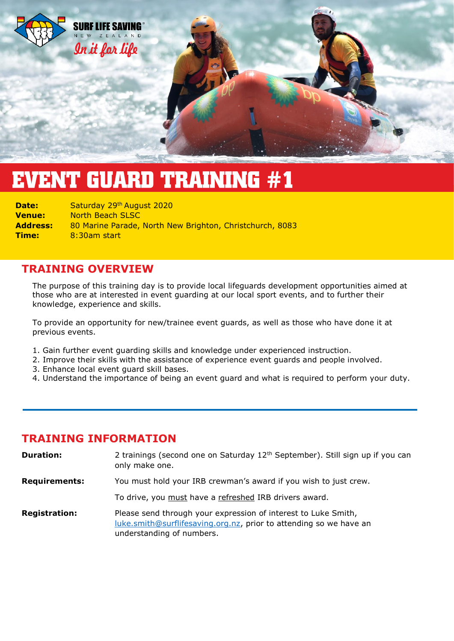

# **EVENT GUARD TRAINING #1**

**Date:** Saturday 29<sup>th</sup> August 2020 **Venue:** North Beach SLSC **Address:** 80 Marine Parade, North New Brighton, Christchurch, 8083 **Time:** 8:30am start

# **TRAINING OVERVIEW**

The purpose of this training day is to provide local lifeguards development opportunities aimed at those who are at interested in event guarding at our local sport events, and to further their knowledge, experience and skills.

To provide an opportunity for new/trainee event guards, as well as those who have done it at previous events.

- 1. Gain further event guarding skills and knowledge under experienced instruction.
- 2. Improve their skills with the assistance of experience event guards and people involved.
- 3. Enhance local event guard skill bases.
- 4. Understand the importance of being an event guard and what is required to perform your duty.

# **TRAINING INFORMATION**

| <b>Duration:</b>     | 2 trainings (second one on Saturday 12 <sup>th</sup> September). Still sign up if you can<br>only make one.                                                       |
|----------------------|-------------------------------------------------------------------------------------------------------------------------------------------------------------------|
| <b>Requirements:</b> | You must hold your IRB crewman's award if you wish to just crew.                                                                                                  |
|                      | To drive, you must have a refreshed IRB drivers award.                                                                                                            |
| <b>Registration:</b> | Please send through your expression of interest to Luke Smith,<br>luke.smith@surflifesaving.org.nz, prior to attending so we have an<br>understanding of numbers. |